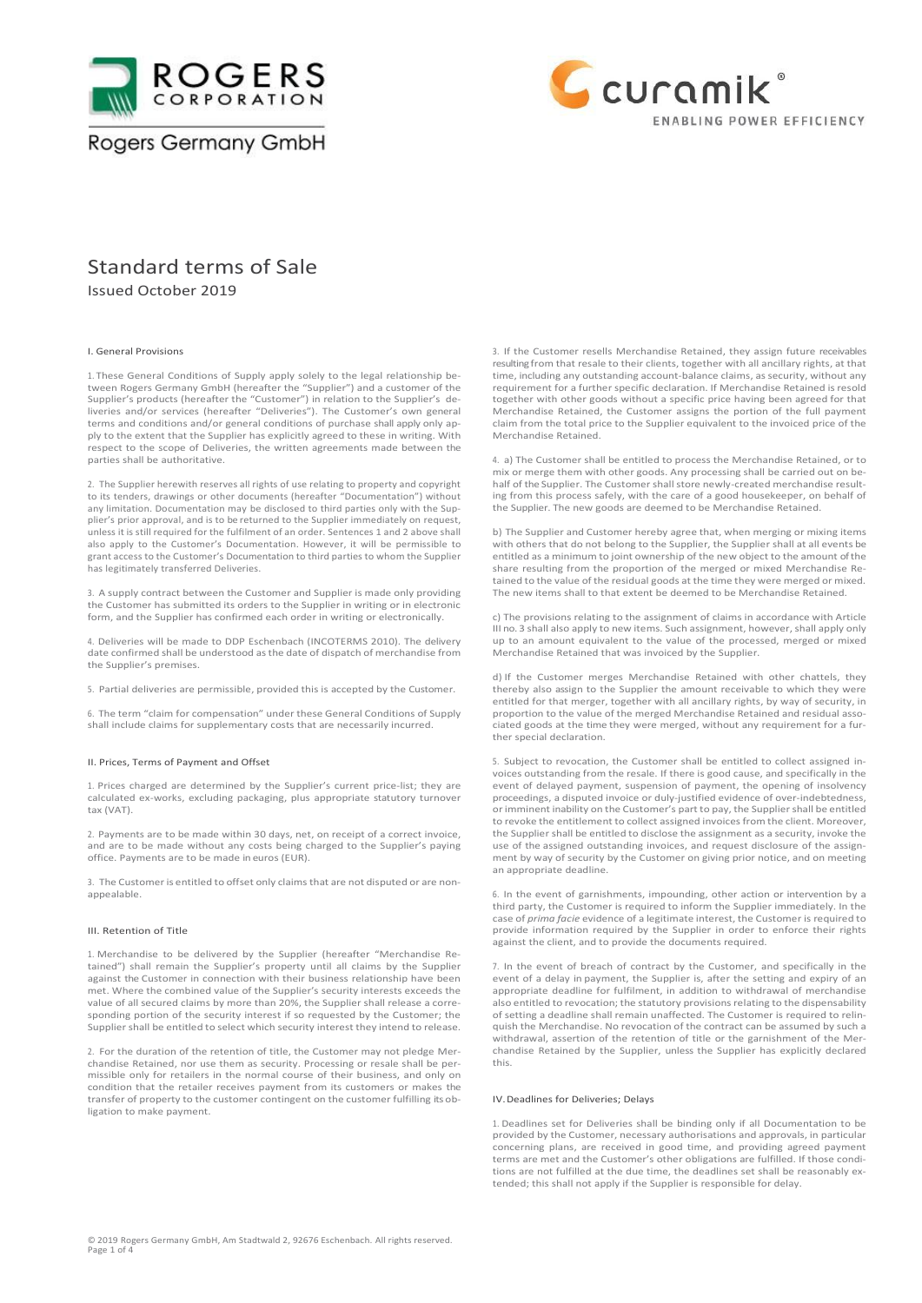



# Standard terms of Sale

Issued October 2019

# I. General Provisions

1. These General Conditions of Supply apply solely to the legal relationship be-tween Rogers Germany GmbH (hereafter the "Supplier") and a customer of the Supplier's products (hereafter the "Customer") in relation to the Supplier's deliveries and/or services (hereafter "Deliveries"). The Customer's own general terms and conditions and/or general conditions of purchase shall apply only apply to the extent that the Supplier has explicitly agreed to these in writing. With respect to the scope of Deliveries, the written agreements made between the parties shall be authoritative.

2. The Supplier herewith reserves all rights of use relating to property and copyright to its tenders, drawings or other documents (hereafter "Documentation") without any limitation. Documentation may be disclosed to third parties only with the Supplier's prior approval, and is to be returned to the Supplier immediately on request, unless it is still required for the fulfilment of an order. Sentences 1 and 2 above shall also apply to the Customer's Documentation. However, it will be permissible to grant access to the Customer's Documentation to third parties to whom the Supplier has legitimately transferred Deliveries.

3. A supply contract between the Customer and Supplier is made only providing the Customer has submitted its orders to the Supplier in writing or in electronic form, and the Supplier has confirmed each order in writing or electronically.

4. Deliveries will be made to DDP Eschenbach (INCOTERMS 2010). The delivery date confirmed shall be understood asthe date of dispatch of merchandise from the Supplier's premises.

5. Partial deliveries are permissible, provided this is accepted by the Customer.

6. The term "claim for compensation" under these General Conditions of Supply shall include claims for supplementary costs that are necessarily incurred.

#### II. Prices, Terms of Payment and Offset

1. Prices charged are determined by the Supplier's current price-list; they are calculated ex-works, excluding packaging, plus appropriate statutory turnover tax (VAT).

2. Payments are to be made within 30 days, net, on receipt of a correct invoice, and are to be made without any costs being charged to the Supplier's paying office. Payments are to be made in euros (EUR).

3. The Customer is entitled to offset only claims that are not disputed or are nonappealable.

#### III. Retention of Title

1. Merchandise to be delivered by the Supplier (hereafter "Merchandise Retained") shall remain the Supplier's property until all claims by the Supplier against the Customer in connection with their business relationship have been met. Where the combined value of the Supplier's security interests exceeds the value of all secured claims by more than 20%, the Supplier shall release a corresponding portion of the security interest if so requested by the Customer; the Supplier shall be entitled to select which security interest they intend to release.

2. For the duration of the retention of title, the Customer may not pledge Merchandise Retained, nor use them as security. Processing or resale shall be permissible only for retailers in the normal course of their business, and only on condition that the retailer receives payment from its customers or makes the transfer of property to the customer contingent on the customer fulfilling its obligation to make payment.

3. If the Customer resells Merchandise Retained, they assign future receivables resulting from that resale to their clients, together with all ancillary rights, at that time, including any outstanding account-balance claims, as security, without any requirement for a further specific declaration. If Merchandise Retained isresold together with other goods without a specific price having been agreed for that Merchandise Retained, the Customer assigns the portion of the full payment claim from the total price to the Supplier equivalent to the invoiced price of the Merchandise Retained.

4. a) The Customer shall be entitled to process the Merchandise Retained, or to mix or merge them with other goods. Any processing shall be carried out on behalf of the Supplier. The Customer shall store newly-created merchandise resulting from this process safely, with the care of a good housekeeper, on behalf of the Supplier. The new goods are deemed to be Merchandise Retained.

b) The Supplier and Customer hereby agree that, when merging or mixing items with others that do not belong to the Supplier, the Supplier shall at all events be entitled as a minimum to joint ownership of the new object to the amount of the share resulting from the proportion of the merged or mixed Merchandise Retained to the value of the residual goods at the time they were merged or mixed. The new items shall to that extent be deemed to be Merchandise Retained.

c) The provisions relating to the assignment of claims in accordance with Article III no. 3 shall also apply to new items. Such assignment, however, shall apply only up to an amount equivalent to the value of the processed, merged or mixed Merchandise Retained that was invoiced by the Supplier.

d) If the Customer merges Merchandise Retained with other chattels, they thereby also assign to the Supplier the amount receivable to which they were entitled for that merger, together with all ancillary rights, by way of security, in proportion to the value of the merged Merchandise Retained and residual associated goods at the time they were merged, without any requirement for a further special declaration.

5. Subject to revocation, the Customer shall be entitled to collect assigned invoices outstanding from the resale. If there is good cause, and specifically in the event of delayed payment, suspension of payment, the opening of insolvency proceedings, a disputed invoice or duly-justified evidence of over-indebtedness, or imminent inability on the Customer's part to pay, the Supplier shall be entitled to revoke the entitlement to collect assigned invoices from the client. Moreover, the Supplier shall be entitled to disclose the assignment as a security, invoke the use of the assigned outstanding invoices, and request disclosure of the assignment by way of security by the Customer on giving prior notice, and on meeting an appropriate deadline.

6. In the event of garnishments, impounding, other action or intervention by a third party, the Customer is required to inform the Supplier immediately. In the case of *prima facie* evidence of a legitimate interest, the Customer is required to provide information required by the Supplier in order to enforce their rights against the client, and to provide the documents required.

7. In the event of breach of contract by the Customer, and specifically in the event of a delay in payment, the Supplier is, after the setting and expiry of an appropriate deadline for fulfilment, in addition to withdrawal of merchandise also entitled to revocation; the statutory provisions relating to the dispensability of setting a deadline shall remain unaffected. The Customer is required to relinquish the Merchandise. No revocation of the contract can be assumed by such a withdrawal, assertion of the retention of title or the garnishment of the Merchandise Retained by the Supplier, unless the Supplier has explicitly declared this.

### IV.Deadlines for Deliveries; Delays

1. Deadlines set for Deliveries shall be binding only if all Documentation to be provided by the Customer, necessary authorisations and approvals, in particular concerning plans, are received in good time, and providing agreed payment terms are met and the Customer's other obligations are fulfilled. If those conditions are not fulfilled at the due time, the deadlines set shall be reasonably extended; this shall not apply if the Supplier is responsible for delay.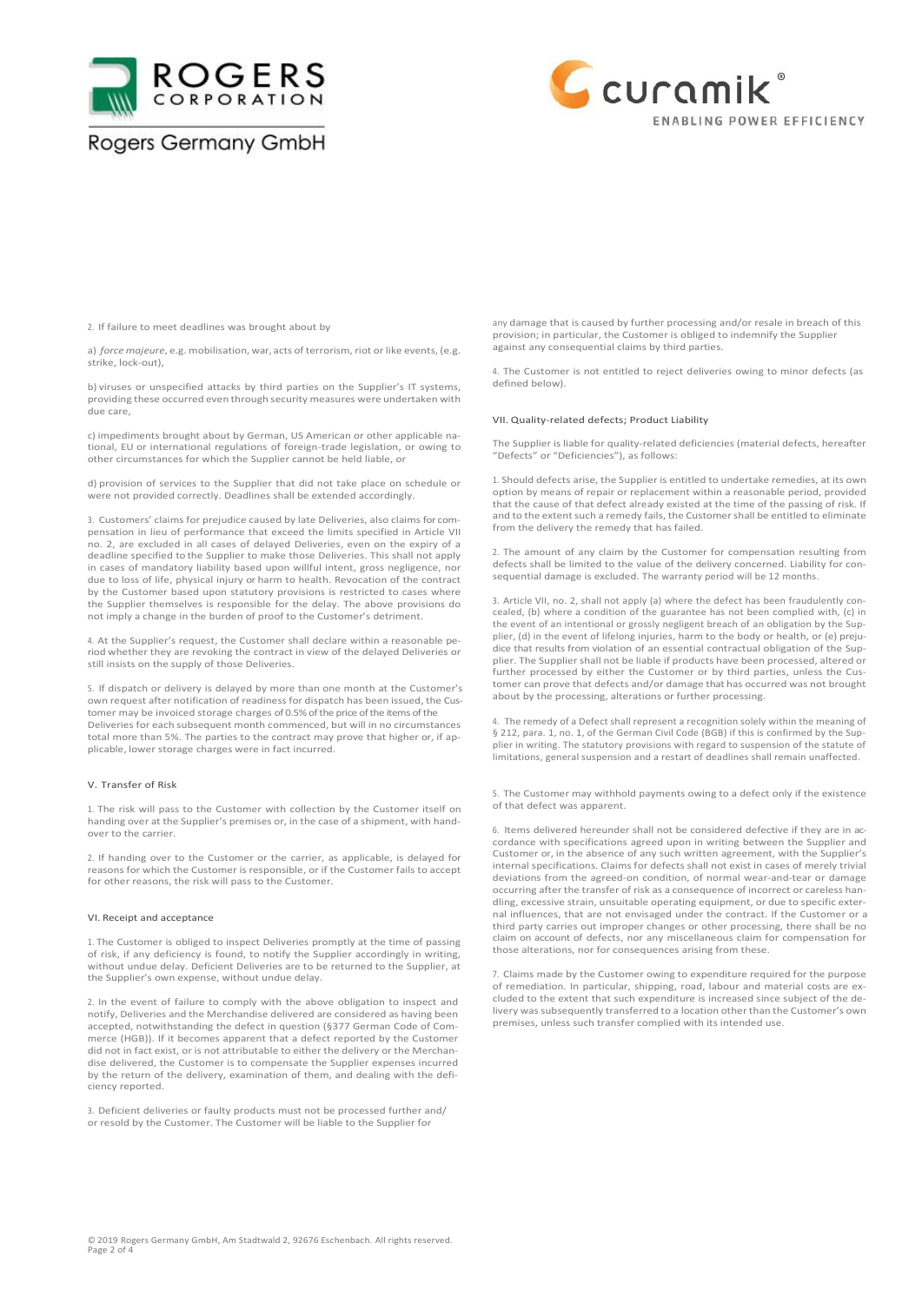



2. If failure to meet deadlines was brought about by

a) *force majeure*, e.g. mobilisation, war, acts of terrorism, riot or like events, (e.g. strike, lock-out),

b) viruses or unspecified attacks by third parties on the Supplier's IT systems, providing these occurred even through security measures were undertaken with due care,

c) impediments brought about by German, US American or other applicable national, EU or international regulations of foreign-trade legislation, or owing to other circumstances for which the Supplier cannot be held liable, or

d) provision of services to the Supplier that did not take place on schedule or were not provided correctly. Deadlines shall be extended accordingly.

3. Customers' claims for prejudice caused by late Deliveries, also claims for compensation in lieu of performance that exceed the limits specified in Article VII no. 2, are excluded in all cases of delayed Deliveries, even on the expiry of a deadline specified to the Supplier to make those Deliveries. This shall not apply in cases of mandatory liability based upon willful intent, gross negligence, nor due to loss of life, physical injury or harm to health. Revocation of the contract by the Customer based upon statutory provisions is restricted to cases where the Supplier themselves is responsible for the delay. The above provisions do not imply a change in the burden of proof to the Customer's detriment.

4. At the Supplier's request, the Customer shall declare within a reasonable period whether they are revoking the contract in view of the delayed Deliveries or still insists on the supply of those Deliveries.

5. If dispatch or delivery is delayed by more than one month at the Customer's own request after notification of readiness for dispatch has been issued, the Customer may be invoiced storage charges of 0.5% of the price of the items of the Deliveries for each subsequent month commenced, but will in no circumstances total more than 5%. The parties to the contract may prove that higher or, if applicable, lower storage charges were in fact incurred.

### V. Transfer of Risk

1. The risk will pass to the Customer with collection by the Customer itself on handing over at the Supplier's premises or, in the case of a shipment, with handover to the carrier

2. If handing over to the Customer or the carrier, as applicable, is delayed for reasons for which the Customer is responsible, or if the Customer fails to accept for other reasons, the risk will pass to the Customer.

### VI. Receipt and acceptance

1. The Customer is obliged to inspect Deliveries promptly at the time of passing of risk, if any deficiency is found, to notify the Supplier accordingly in writing, without undue delay. Deficient Deliveries are to be returned to the Supplier, at the Supplier's own expense, without undue delay.

2. In the event of failure to comply with the above obligation to inspect and notify, Deliveries and the Merchandise delivered are considered as having been accepted, notwithstanding the defect in question (§377 German Code of Commerce (HGB)). If it becomes apparent that a defect reported by the Customer did not in fact exist, or is not attributable to either the delivery or the Merchandise delivered, the Customer is to compensate the Supplier expenses incurred by the return of the delivery, examination of them, and dealing with the deficiency reported.

3. Deficient deliveries or faulty products must not be processed further and/ or resold by the Customer. The Customer will be liable to the Supplier for

any damage that is caused by further processing and/or resale in breach of this provision; in particular, the Customer is obliged to indemnify the Supplier against any consequential claims by third parties.

4. The Customer is not entitled to reject deliveries owing to minor defects (as defined below).

### VII. Quality-related defects; Product Liability

The Supplier is liable for quality-related deficiencies (material defects, hereafter "Defects" or "Deficiencies"), as follows:

1. Should defects arise, the Supplier is entitled to undertake remedies, at its own option by means of repair or replacement within a reasonable period, provided that the cause of that defect already existed at the time of the passing of risk. If and to the extent such a remedy fails, the Customer shall be entitled to eliminate from the delivery the remedy that has failed.

2. The amount of any claim by the Customer for compensation resulting from defects shall be limited to the value of the delivery concerned. Liability for consequential damage is excluded. The warranty period will be 12 months.

3. Article VII, no. 2, shall not apply (a) where the defect has been fraudulently concealed, (b) where a condition of the guarantee has not been complied with, (c) in the event of an intentional or grossly negligent breach of an obligation by the Supplier, (d) in the event of lifelong injuries, harm to the body or health, or (e) prejudice that results from violation of an essential contractual obligation of the Supplier. The Supplier shall not be liable if products have been processed, altered or further processed by either the Customer or by third parties, unless the Customer can prove that defects and/or damage that has occurred was not brought about by the processing, alterations or further processing.

4. The remedy of a Defect shall represent a recognition solely within the meaning of § 212, para. 1, no. 1, of the German Civil Code (BGB) if this is confirmed by the Supplier in writing. The statutory provisions with regard to suspension of the statute of limitations, general suspension and a restart of deadlines shall remain unaffected.

5. The Customer may withhold payments owing to a defect only if the existence of that defect was apparent.

6. Items delivered hereunder shall not be considered defective if they are in accordance with specifications agreed upon in writing between the Supplier and Customer or, in the absence of any such written agreement, with the Supplier's internal specifications. Claims for defects shall not exist in cases of merely trivial deviations from the agreed-on condition, of normal wear-and-tear or damage occurring after the transfer of risk as a consequence of incorrect or careless handling, excessive strain, unsuitable operating equipment, or due to specific external influences, that are not envisaged under the contract. If the Customer or a third party carries out improper changes or other processing, there shall be no claim on account of defects, nor any miscellaneous claim for compensation for those alterations, nor for consequences arising from these.

7. Claims made by the Customer owing to expenditure required for the purpose of remediation. In particular, shipping, road, labour and material costs are excluded to the extent that such expenditure is increased since subject of the delivery was subsequently transferred to a location other than the Customer's own premises, unless such transfer complied with its intended use.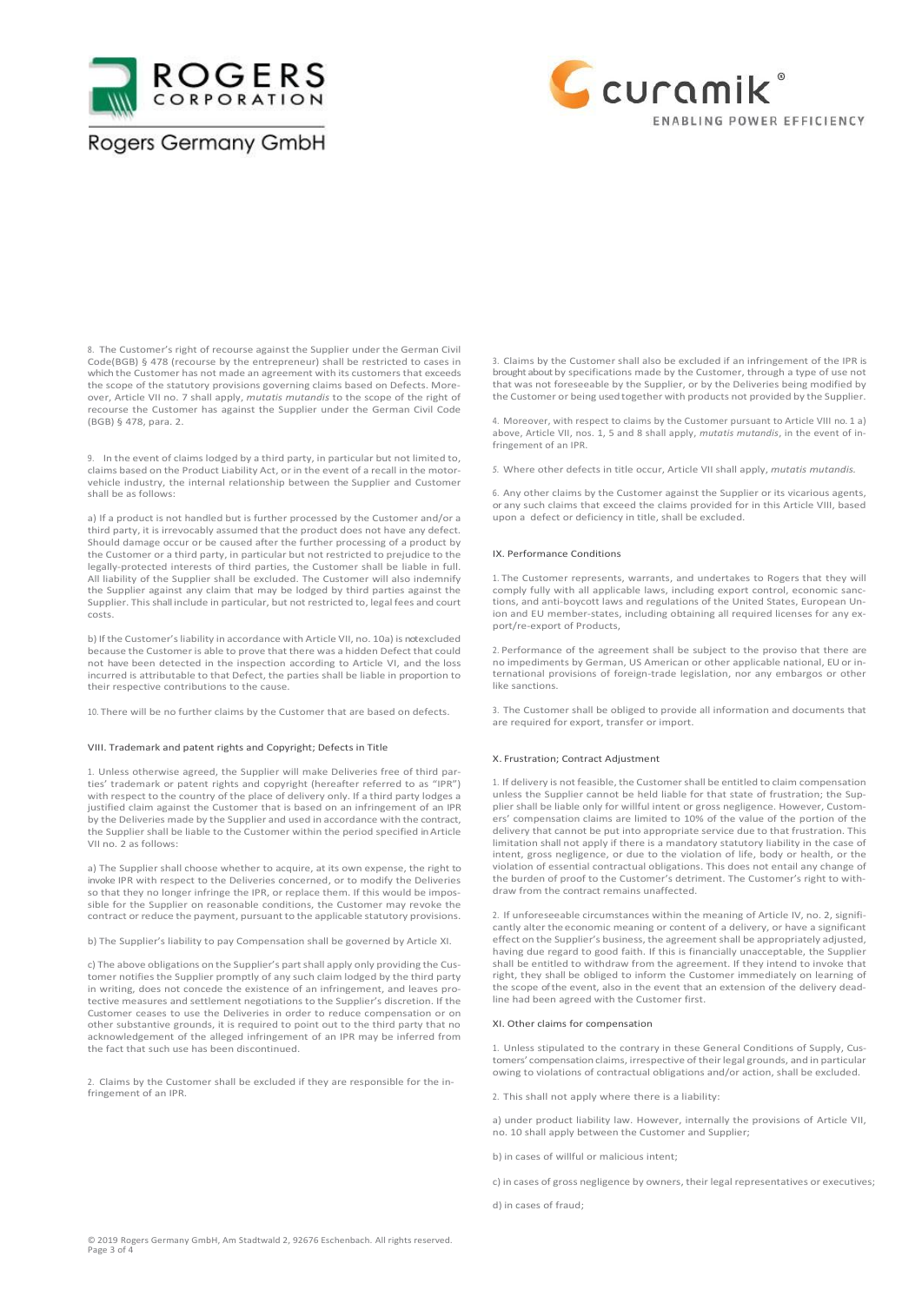



8. The Customer's right of recourse against the Supplier under the German Civil Code(BGB) § 478 (recourse by the entrepreneur) shall be restricted to cases in which the Customer has not made an agreement with its customers that exceeds the scope of the statutory provisions governing claims based on Defects. Moreover, Article VII no. 7 shall apply, *mutatis mutandis* to the scope of the right of recourse the Customer has against the Supplier under the German Civil Code (BGB) § 478, para. 2.

9. In the event of claims lodged by a third party, in particular but not limited to, claims based on the Product Liability Act, or in the event of a recall in the motorvehicle industry, the internal relationship between the Supplier and Customer shall be as follows:

a) If a product is not handled but is further processed by the Customer and/or a third party, it is irrevocably assumed that the product does not have any defect. Should damage occur or be caused after the further processing of a product by the Customer or a third party, in particular but not restricted to prejudice to the legally-protected interests of third parties, the Customer shall be liable in full. All liability of the Supplier shall be excluded. The Customer will also indemnify the Supplier against any claim that may be lodged by third parties against the Supplier. This shall include in particular, but not restricted to, legal fees and court costs.

b) If the Customer's liability in accordance with Article VII, no. 10a) is notexcluded because the Customer is able to prove that there was a hidden Defect that could not have been detected in the inspection according to Article VI, and the loss incurred is attributable to that Defect, the parties shall be liable in proportion to their respective contributions to the cause.

10. There will be no further claims by the Customer that are based on defects.

### VIII. Trademark and patent rights and Copyright; Defects in Title

1. Unless otherwise agreed, the Supplier will make Deliveries free of third parties' trademark or patent rights and copyright (hereafter referred to as "IPR") with respect to the country of the place of delivery only. If a third party lodges a justified claim against the Customer that is based on an infringement of an IPR by the Deliveries made by the Supplier and used in accordance with the contract, the Supplier shall be liable to the Customer within the period specified in Article VII no. 2 as follows:

a) The Supplier shall choose whether to acquire, at its own expense, the right to invoke IPR with respect to the Deliveries concerned, or to modify the Deliveries so that they no longer infringe the IPR, or replace them. If this would be impossible for the Supplier on reasonable conditions, the Customer may revoke the contract or reduce the payment, pursuant to the applicable statutory provisions.

b) The Supplier's liability to pay Compensation shall be governed by Article XI.

c) The above obligations on the Supplier's part shall apply only providing the Customer notifies the Supplier promptly of any such claim lodged by the third party in writing, does not concede the existence of an infringement, and leaves protective measures and settlement negotiations to the Supplier's discretion. If the Customer ceases to use the Deliveries in order to reduce compensation or on other substantive grounds, it is required to point out to the third party that no acknowledgement of the alleged infringement of an IPR may be inferred from the fact that such use has been discontinued.

2. Claims by the Customer shall be excluded if they are responsible for the infringement of an IPR.

3. Claims by the Customer shall also be excluded if an infringement of the IPR is brought about by specifications made by the Customer, through a type of use not that was not foreseeable by the Supplier, or by the Deliveries being modified by the Customer or being used together with products not provided by the Supplier.

4. Moreover, with respect to claims by the Customer pursuant to Article VIII no. 1 a) above, Article VII, nos. 1, 5 and 8 shall apply, *mutatis mutandis*, in the event of infringement of an IPR.

*5.* Where other defects in title occur, Article VII shall apply, *mutatis mutandis.*

6. Any other claims by the Customer against the Supplier or its vicarious agents, or any such claims that exceed the claims provided for in this Article VIII, based upon a defect or deficiency in title, shall be excluded.

#### IX. Performance Conditions

1. The Customer represents, warrants, and undertakes to Rogers that they will comply fully with all applicable laws, including export control, economic sanctions, and anti-boycott laws and regulations of the United States, European Union and EU member-states, including obtaining all required licenses for any export/re-export of Products,

2. Performance of the agreement shall be subject to the proviso that there are no impediments by German, US American or other applicable national, EU or international provisions of foreign-trade legislation, nor any embargos or other like sanctions.

3. The Customer shall be obliged to provide all information and documents that are required for export, transfer or import.

### X. Frustration; Contract Adjustment

1. If delivery is not feasible, the Customer shall be entitled to claim compensation unless the Supplier cannot be held liable for that state of frustration; the Supplier shall be liable only for willful intent or gross negligence. However, Customers' compensation claims are limited to 10% of the value of the portion of the delivery that cannot be put into appropriate service due to that frustration. This limitation shall not apply if there is a mandatory statutory liability in the case of intent, gross negligence, or due to the violation of life, body or health, or the violation of essential contractual obligations. This does not entail any change of the burden of proof to the Customer's detriment. The Customer's right to withdraw from the contract remains unaffected.

2. If unforeseeable circumstances within the meaning of Article IV, no. 2, significantly alter the economic meaning or content of a delivery, or have a significant effect on the Supplier's business, the agreement shall be appropriately adjusted, having due regard to good faith. If this is financially unacceptable, the Supplier shall be entitled to withdraw from the agreement. If they intend to invoke that right, they shall be obliged to inform the Customer immediately on learning of the scope of the event, also in the event that an extension of the delivery deadline had been agreed with the Customer first.

## XI. Other claims for compensation

1. Unless stipulated to the contrary in these General Conditions of Supply, Customers' compensation claims, irrespective of their legal grounds, and in particular owing to violations of contractual obligations and/or action, shall be excluded.

2. This shall not apply where there is a liability:

a) under product liability law. However, internally the provisions of Article VII, no. 10 shall apply between the Customer and Supplier;

b) in cases of willful or malicious intent;

c) in cases of gross negligence by owners, their legal representatives or executives;

d) in cases of fraud;